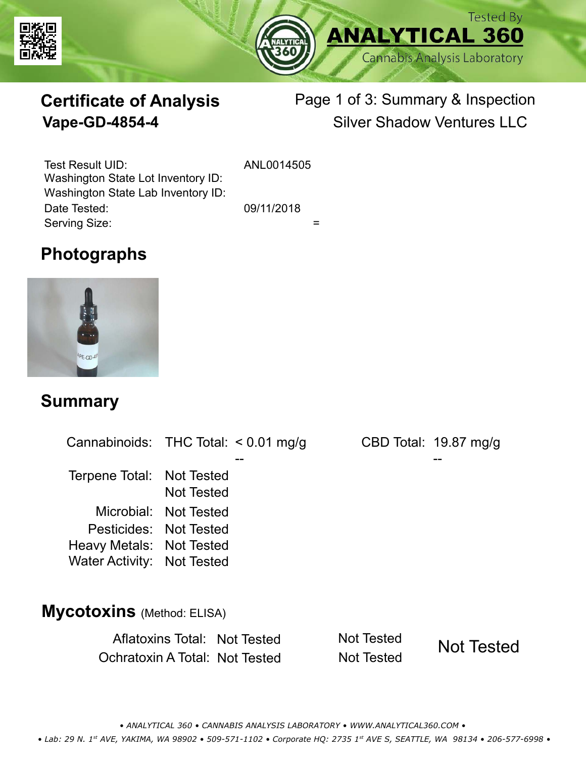



# **Certificate of Analysis**

# Page 1 of 3: Summary & Inspection **Vape-GD-4854-4** Silver Shadow Ventures LLC

Serving Size:  $=$ Test Result UID: ANL0014505 Date Tested: 09/11/2018 Washington State Lot Inventory ID: Washington State Lab Inventory ID:

## **Photographs**



#### **Summary**

Cannabinoids: THC Total:  $< 0.01$  mg/g Terpene Total: Not Tested Microbial: Not Tested CBD Total: 19.87 mg/g Pesticides: Not Tested Heavy Metals: Not Tested -- -- Not Tested Water Activity: Not Tested **Mycotoxins** (Method: ELISA)

> Aflatoxins Total: Not Tested Not Tested Ochratoxin A Total: Not Tested Not Tested Not Tested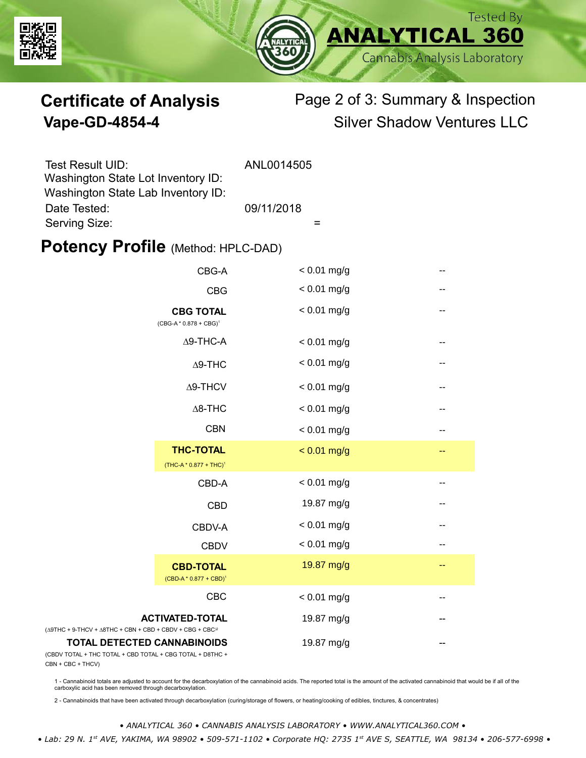



# **Certificate of Analysis** Page 2 of 3: Summary & Inspection **Vape-GD-4854-4** Silver Shadow Ventures LLC

| Test Result UID:<br>Washington State Lot Inventory ID: | ANL0014505 |
|--------------------------------------------------------|------------|
| Washington State Lab Inventory ID:                     |            |
| Date Tested:                                           | 09/11/2018 |
| Serving Size:                                          |            |

#### **Potency Profile (Method: HPLC-DAD)**

|                                                                                           | CBG-A                                                  | $< 0.01$ mg/g |                          |
|-------------------------------------------------------------------------------------------|--------------------------------------------------------|---------------|--------------------------|
|                                                                                           | <b>CBG</b>                                             | $< 0.01$ mg/g | --                       |
| <b>CBG TOTAL</b><br>$(CBG-A * 0.878 + CBG)^1$<br>$\Delta$ 9-THC-A<br>$\Delta$ 9-THC       |                                                        | $< 0.01$ mg/g | --                       |
|                                                                                           |                                                        | $< 0.01$ mg/g | $\qquad \qquad -$        |
|                                                                                           |                                                        | $< 0.01$ mg/g | $\overline{\phantom{m}}$ |
|                                                                                           | $\Delta$ 9-THCV                                        | $< 0.01$ mg/g | $-$                      |
|                                                                                           | $\Delta$ 8-THC                                         | $< 0.01$ mg/g | --                       |
|                                                                                           | <b>CBN</b>                                             | $< 0.01$ mg/g | --                       |
|                                                                                           | <b>THC-TOTAL</b><br>(THC-A * 0.877 + THC) <sup>1</sup> | $< 0.01$ mg/g | --                       |
|                                                                                           | CBD-A                                                  | $< 0.01$ mg/g | --                       |
|                                                                                           | <b>CBD</b>                                             | 19.87 mg/g    | $-$                      |
|                                                                                           | CBDV-A                                                 | $< 0.01$ mg/g | $-$                      |
|                                                                                           | <b>CBDV</b>                                            | $< 0.01$ mg/g | --                       |
|                                                                                           | <b>CBD-TOTAL</b><br>$(CBD-A * 0.877 + CBD)^1$          | 19.87 mg/g    | --                       |
|                                                                                           | CBC                                                    | $< 0.01$ mg/g | --                       |
| $+9$ -THCV + $\triangle$ 8THC + CBN + CBD + CBDV + CBG + CBC <sup><math>/2</math></sup>   | <b>ACTIVATED-TOTAL</b>                                 | 19.87 mg/g    |                          |
| <b>TOTAL DETECTED CANNABINOIDS</b><br>TOTAL + THC TOTAL + CBD TOTAL + CBG TOTAL + D8THC + |                                                        | 19.87 mg/g    |                          |

(CBDV TOTAL + THC TOTAL CBN + CBC + THCV)

(∆9THC + 9-THCV + ∆8THC

1 - Cannabinoid totals are adjusted to account for the decarboxylation of the cannabinoid acids. The reported total is the amount of the activated cannabinoid that would be if all of the<br>carboxylic acid has been removed th

2 - Cannabinoids that have been activated through decarboxylation (curing/storage of flowers, or heating/cooking of edibles, tinctures, & concentrates)

*• ANALYTICAL 360 • CANNABIS ANALYSIS LABORATORY • WWW.ANALYTICAL360.COM •*

 *• Lab: 29 N. 1st AVE, YAKIMA, WA 98902 • 509-571-1102 • Corporate HQ: 2735 1st AVE S, SEATTLE, WA 98134 • 206-577-6998 •*